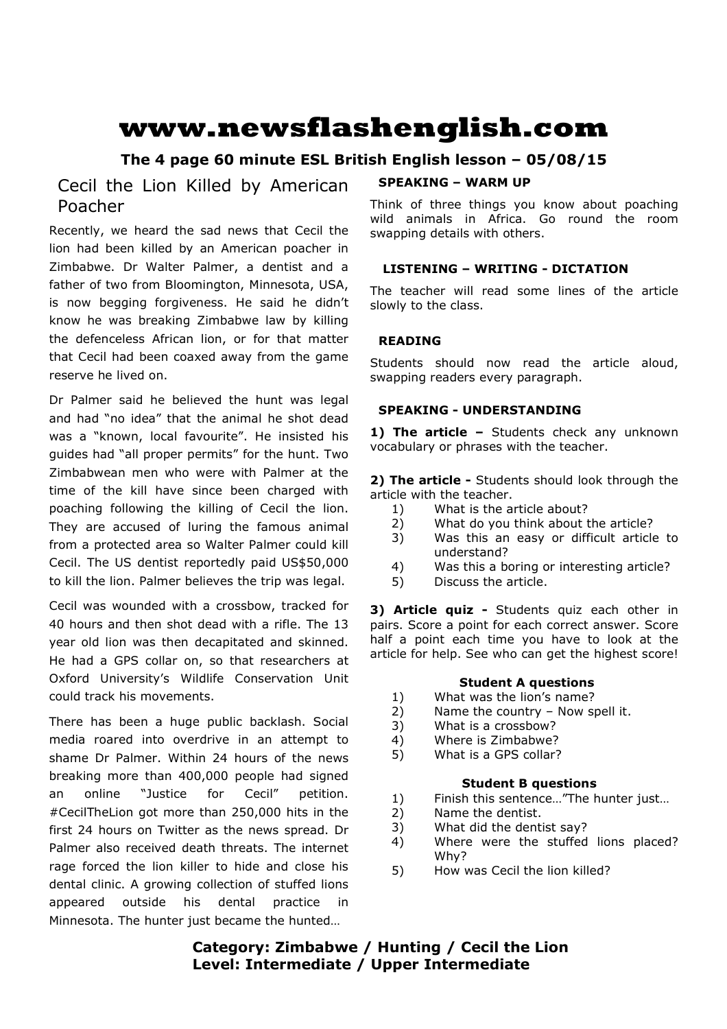# **www.newsflashenglish.com**

# **The 4 page 60 minute ESL British English lesson – 05/08/15**

# Cecil the Lion Killed by American Poacher

Recently, we heard the sad news that Cecil the lion had been killed by an American poacher in Zimbabwe. Dr Walter Palmer, a dentist and a father of two from Bloomington, Minnesota, USA, is now begging forgiveness. He said he didn't know he was breaking Zimbabwe law by killing the defenceless African lion, or for that matter that Cecil had been coaxed away from the game reserve he lived on.

Dr Palmer said he believed the hunt was legal and had "no idea" that the animal he shot dead was a "known, local favourite". He insisted his guides had "all proper permits" for the hunt. Two Zimbabwean men who were with Palmer at the time of the kill have since been charged with poaching following the killing of Cecil the lion. They are accused of luring the famous animal from a protected area so Walter Palmer could kill Cecil. The US dentist reportedly paid US\$50,000 to kill the lion. Palmer believes the trip was legal.

Cecil was wounded with a crossbow, tracked for 40 hours and then shot dead with a rifle. The 13 year old lion was then decapitated and skinned. He had a GPS collar on, so that researchers at Oxford University's Wildlife Conservation Unit could track his movements.

There has been a huge public backlash. Social media roared into overdrive in an attempt to shame Dr Palmer. Within 24 hours of the news breaking more than 400,000 people had signed an online "Justice for Cecil" petition. #CecilTheLion got more than 250,000 hits in the first 24 hours on Twitter as the news spread. Dr Palmer also received death threats. The internet rage forced the lion killer to hide and close his dental clinic. A growing collection of stuffed lions appeared outside his dental practice in Minnesota. The hunter just became the hunted…

#### **SPEAKING – WARM UP**

Think of three things you know about poaching wild animals in Africa. Go round the room swapping details with others.

#### **LISTENING – WRITING - DICTATION**

The teacher will read some lines of the article slowly to the class.

### **READING**

Students should now read the article aloud, swapping readers every paragraph.

#### **SPEAKING - UNDERSTANDING**

1) The article - Students check any unknown vocabulary or phrases with the teacher.

**2) The article -** Students should look through the article with the teacher.

- 1) What is the article about?
- 2) What do you think about the article?
- 3) Was this an easy or difficult article to understand?
- 4) Was this a boring or interesting article?
- 5) Discuss the article.

**3) Article quiz -** Students quiz each other in pairs. Score a point for each correct answer. Score half a point each time you have to look at the article for help. See who can get the highest score!

#### **Student A questions**

- 1) What was the lion's name?
- 2) Name the country Now spell it.
- 3) What is a crossbow?
- 4) Where is Zimbabwe?
- 5) What is a GPS collar?

#### **Student B questions**

- 1) Finish this sentence…"The hunter just…
- 2) Name the dentist.
- 3) What did the dentist say?
- 4) Where were the stuffed lions placed? Why?
- 5) How was Cecil the lion killed?

# **Category: Zimbabwe / Hunting / Cecil the Lion Level: Intermediate / Upper Intermediate**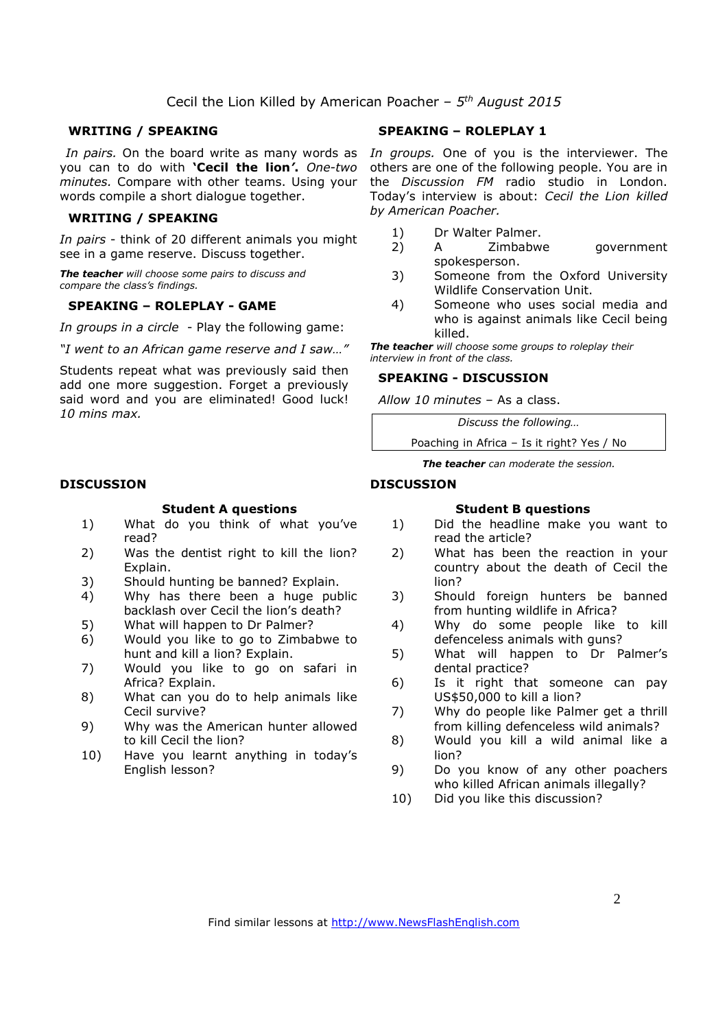#### **WRITING / SPEAKING**

*In pairs.* On the board write as many words as you can to do with **'Cecil the lion***'***.** *One-two minutes.* Compare with other teams. Using your words compile a short dialogue together.

#### **WRITING / SPEAKING**

*In pairs* - think of 20 different animals you might see in a game reserve. Discuss together.

*The teacher will choose some pairs to discuss and compare the class's findings.* 

#### **SPEAKING – ROLEPLAY - GAME**

*In groups in a circle* - Play the following game:

*"I went to an African game reserve and I saw…"* 

Students repeat what was previously said then add one more suggestion. Forget a previously said word and you are eliminated! Good luck! *10 mins max.* 

#### **DISCUSSION**

#### **Student A questions**

- 1) What do you think of what you've read?
- 2) Was the dentist right to kill the lion? Explain.
- 3) Should hunting be banned? Explain.
- 4) Why has there been a huge public backlash over Cecil the lion's death?
- 5) What will happen to Dr Palmer?
- 6) Would you like to go to Zimbabwe to hunt and kill a lion? Explain.
- 7) Would you like to go on safari in Africa? Explain.
- 8) What can you do to help animals like Cecil survive?
- 9) Why was the American hunter allowed to kill Cecil the lion?
- 10) Have you learnt anything in today's English lesson?

#### **SPEAKING – ROLEPLAY 1**

*In groups.* One of you is the interviewer. The others are one of the following people. You are in the *Discussion FM* radio studio in London. Today's interview is about: *Cecil the Lion killed by American Poacher.*

- 1) Dr Walter Palmer.
- 2) A Zimbabwe government spokesperson.
- 3) Someone from the Oxford University Wildlife Conservation Unit.
- 4) Someone who uses social media and who is against animals like Cecil being killed.

*The teacher will choose some groups to roleplay their interview in front of the class.* 

#### **SPEAKING - DISCUSSION**

*Allow 10 minutes* – As a class.

*Discuss the following…* 

Poaching in Africa – Is it right? Yes / No

*The teacher can moderate the session.*

#### **DISCUSSION**

#### **Student B questions**

- 1) Did the headline make you want to read the article?
- 2) What has been the reaction in your country about the death of Cecil the lion?
- 3) Should foreign hunters be banned from hunting wildlife in Africa?
- 4) Why do some people like to kill defenceless animals with guns?
- 5) What will happen to Dr Palmer's dental practice?
- 6) Is it right that someone can pay US\$50,000 to kill a lion?
- 7) Why do people like Palmer get a thrill from killing defenceless wild animals?
- 8) Would you kill a wild animal like a lion?
- 9) Do you know of any other poachers who killed African animals illegally?
- 10) Did you like this discussion?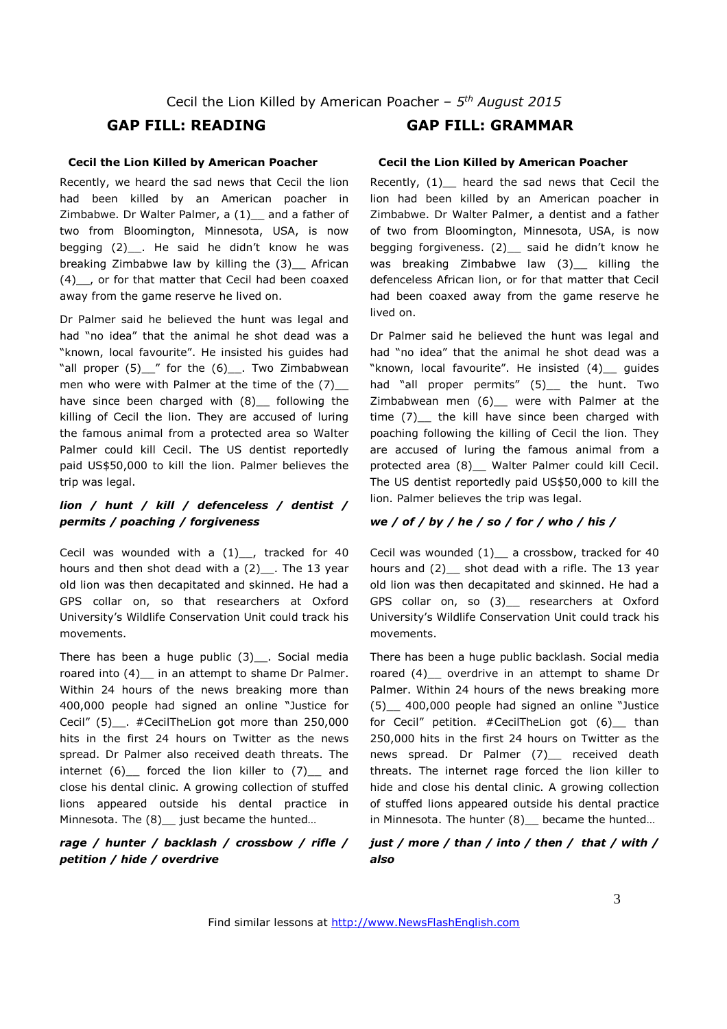#### **Cecil the Lion Killed by American Poacher**

Recently, we heard the sad news that Cecil the lion had been killed by an American poacher in Zimbabwe. Dr Walter Palmer, a  $(1)$  and a father of two from Bloomington, Minnesota, USA, is now begging (2) . He said he didn't know he was breaking Zimbabwe law by killing the (3) African (4)\_\_, or for that matter that Cecil had been coaxed away from the game reserve he lived on.

Dr Palmer said he believed the hunt was legal and had "no idea" that the animal he shot dead was a "known, local favourite". He insisted his guides had "all proper  $(5)$  " for the  $(6)$ . Two Zimbabwean men who were with Palmer at the time of the (7) have since been charged with (8) following the killing of Cecil the lion. They are accused of luring the famous animal from a protected area so Walter Palmer could kill Cecil. The US dentist reportedly paid US\$50,000 to kill the lion. Palmer believes the trip was legal.

### *lion / hunt / kill / defenceless / dentist / permits / poaching / forgiveness*

Cecil was wounded with a  $(1)$ , tracked for 40 hours and then shot dead with a  $(2)$ . The 13 year old lion was then decapitated and skinned. He had a GPS collar on, so that researchers at Oxford University's Wildlife Conservation Unit could track his movements.

There has been a huge public  $(3)$ . Social media roared into (4) in an attempt to shame Dr Palmer. Within 24 hours of the news breaking more than 400,000 people had signed an online "Justice for Cecil" (5) . #CecilTheLion got more than 250,000 hits in the first 24 hours on Twitter as the news spread. Dr Palmer also received death threats. The internet  $(6)$  forced the lion killer to  $(7)$  and close his dental clinic. A growing collection of stuffed lions appeared outside his dental practice in Minnesota. The (8)\_ just became the hunted...

#### *rage / hunter / backlash / crossbow / rifle / petition / hide / overdrive*

# **GAP FILL: READING GAP FILL: GRAMMAR**

#### **Cecil the Lion Killed by American Poacher**

Recently, (1) beard the sad news that Cecil the lion had been killed by an American poacher in Zimbabwe. Dr Walter Palmer, a dentist and a father of two from Bloomington, Minnesota, USA, is now begging forgiveness. (2)\_ said he didn't know he was breaking Zimbabwe law (3) killing the defenceless African lion, or for that matter that Cecil had been coaxed away from the game reserve he lived on.

Dr Palmer said he believed the hunt was legal and had "no idea" that the animal he shot dead was a "known, local favourite". He insisted (4)\_\_ guides had "all proper permits" (5) the hunt. Two Zimbabwean men (6)\_\_ were with Palmer at the time (7)\_\_ the kill have since been charged with poaching following the killing of Cecil the lion. They are accused of luring the famous animal from a protected area (8) \_ Walter Palmer could kill Cecil. The US dentist reportedly paid US\$50,000 to kill the lion. Palmer believes the trip was legal.

#### *we / of / by / he / so / for / who / his /*

Cecil was wounded (1) \_ a crossbow, tracked for 40 hours and (2) \_ shot dead with a rifle. The 13 year old lion was then decapitated and skinned. He had a GPS collar on, so (3)\_\_ researchers at Oxford University's Wildlife Conservation Unit could track his movements.

There has been a huge public backlash. Social media roared (4) overdrive in an attempt to shame Dr Palmer. Within 24 hours of the news breaking more (5)\_\_ 400,000 people had signed an online "Justice for Cecil" petition. #CecilTheLion got (6) than 250,000 hits in the first 24 hours on Twitter as the news spread. Dr Palmer (7)\_\_ received death threats. The internet rage forced the lion killer to hide and close his dental clinic. A growing collection of stuffed lions appeared outside his dental practice in Minnesota. The hunter (8) became the hunted...

#### *just / more / than / into / then / that / with / also*